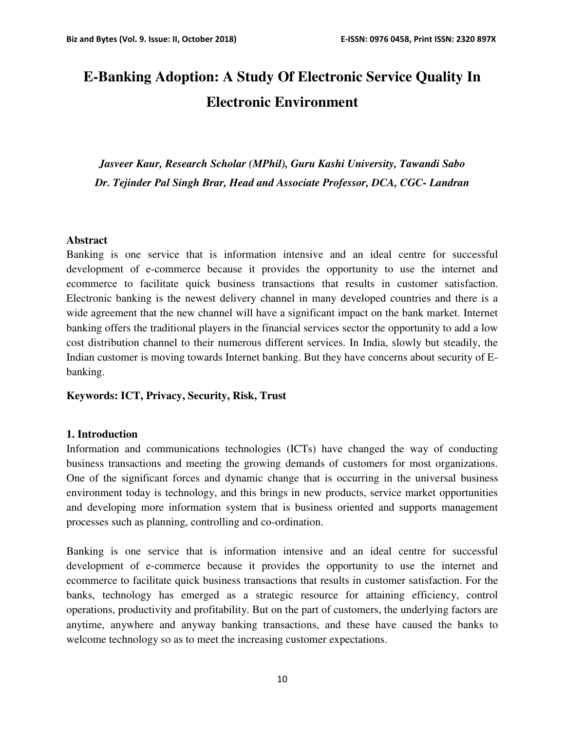# **E-Banking Adoption: A Study Of Electronic Service Quality In Electronic Environment**

*Jasveer Kaur, Research Scholar (MPhil), Guru Kashi University, Tawandi Sabo Dr. Tejinder Pal Singh Brar, Head and Associate Professor, DCA, CGC- Landran* 

#### **Abstract**

Banking is one service that is information intensive and an ideal centre for successful development of e-commerce because it provides the opportunity to use the internet and ecommerce to facilitate quick business transactions that results in customer satisfaction. Electronic banking is the newest delivery channel in many developed countries and there is a wide agreement that the new channel will have a significant impact on the bank market. Internet banking offers the traditional players in the financial services sector the opportunity to add a low cost distribution channel to their numerous different services. In India, slowly but steadily, the Indian customer is moving towards Internet banking. But they have concerns about security of Ebanking.

**Keywords: ICT, Privacy, Security, Risk, Trust**

#### **1. Introduction**

Information and communications technologies (ICTs) have changed the way of conducting business transactions and meeting the growing demands of customers for most organizations. One of the significant forces and dynamic change that is occurring in the universal business environment today is technology, and this brings in new products, service market opportunities and developing more information system that is business oriented and supports management processes such as planning, controlling and co-ordination.

Banking is one service that is information intensive and an ideal centre for successful development of e-commerce because it provides the opportunity to use the internet and ecommerce to facilitate quick business transactions that results in customer satisfaction. For the banks, technology has emerged as a strategic resource for attaining efficiency, control operations, productivity and profitability. But on the part of customers, the underlying factors are anytime, anywhere and anyway banking transactions, and these have caused the banks to welcome technology so as to meet the increasing customer expectations.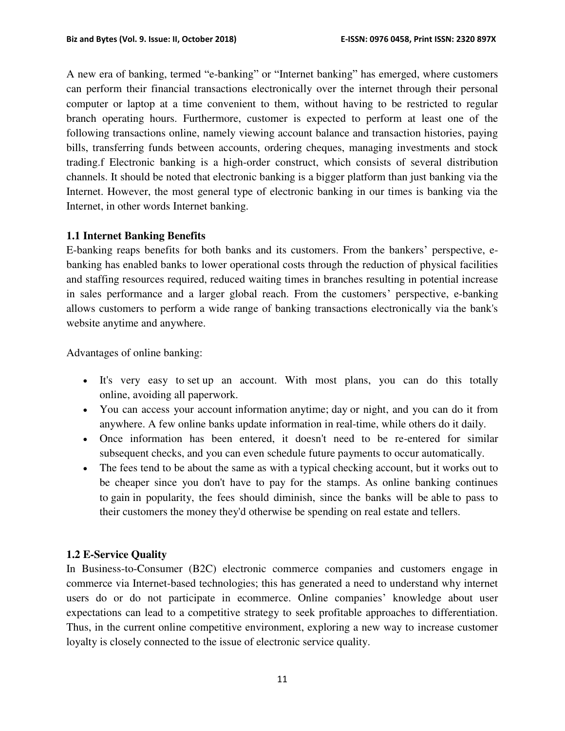A new era of banking, termed "e-banking" or "Internet banking" has emerged, where customers can perform their financial transactions electronically over the internet through their personal computer or laptop at a time convenient to them, without having to be restricted to regular branch operating hours. Furthermore, customer is expected to perform at least one of the following transactions online, namely viewing account balance and transaction histories, paying bills, transferring funds between accounts, ordering cheques, managing investments and stock trading.f Electronic banking is a high-order construct, which consists of several distribution channels. It should be noted that electronic banking is a bigger platform than just banking via the Internet. However, the most general type of electronic banking in our times is banking via the Internet, in other words Internet banking.

#### **1.1 Internet Banking Benefits**

E-banking reaps benefits for both banks and its customers. From the bankers' perspective, ebanking has enabled banks to lower operational costs through the reduction of physical facilities and staffing resources required, reduced waiting times in branches resulting in potential increase in sales performance and a larger global reach. From the customers' perspective, e-banking allows customers to perform a wide range of banking transactions electronically via the bank's website anytime and anywhere.

Advantages of online banking:

- It's very easy to set up an account. With most plans, you can do this totally online, avoiding all paperwork.
- You can access your account information anytime; day or night, and you can do it from anywhere. A few online banks update information in real-time, while others do it daily.
- Once information has been entered, it doesn't need to be re-entered for similar subsequent checks, and you can even schedule future payments to occur automatically.
- The fees tend to be about the same as with a typical checking account, but it works out to be cheaper since you don't have to pay for the stamps. As online banking continues to gain in popularity, the fees should diminish, since the banks will be able to pass to their customers the money they'd otherwise be spending on real estate and tellers.

# **1.2 E-Service Quality**

In Business-to-Consumer (B2C) electronic commerce companies and customers engage in commerce via Internet-based technologies; this has generated a need to understand why internet users do or do not participate in ecommerce. Online companies' knowledge about user expectations can lead to a competitive strategy to seek profitable approaches to differentiation. Thus, in the current online competitive environment, exploring a new way to increase customer loyalty is closely connected to the issue of electronic service quality.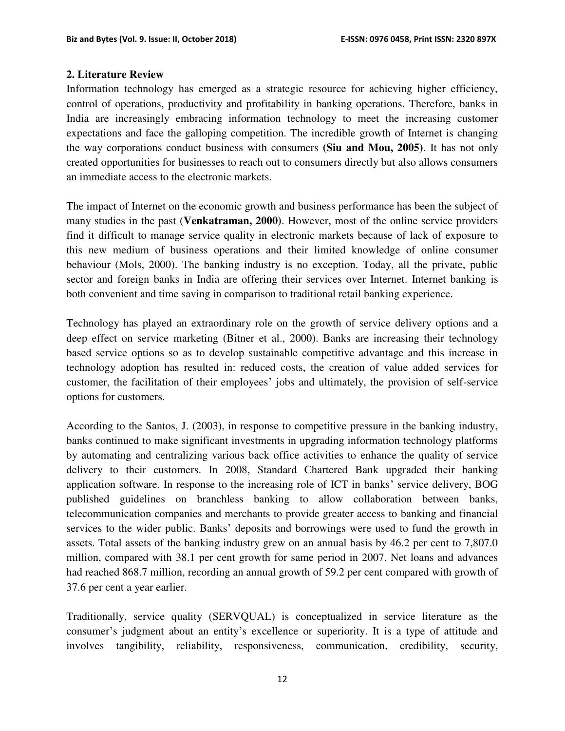#### **2. Literature Review**

Information technology has emerged as a strategic resource for achieving higher efficiency, control of operations, productivity and profitability in banking operations. Therefore, banks in India are increasingly embracing information technology to meet the increasing customer expectations and face the galloping competition. The incredible growth of Internet is changing the way corporations conduct business with consumers **(Siu and Mou, 2005)**. It has not only created opportunities for businesses to reach out to consumers directly but also allows consumers an immediate access to the electronic markets.

The impact of Internet on the economic growth and business performance has been the subject of many studies in the past (**Venkatraman, 2000)**. However, most of the online service providers find it difficult to manage service quality in electronic markets because of lack of exposure to this new medium of business operations and their limited knowledge of online consumer behaviour (Mols, 2000). The banking industry is no exception. Today, all the private, public sector and foreign banks in India are offering their services over Internet. Internet banking is both convenient and time saving in comparison to traditional retail banking experience.

Technology has played an extraordinary role on the growth of service delivery options and a deep effect on service marketing (Bitner et al., 2000). Banks are increasing their technology based service options so as to develop sustainable competitive advantage and this increase in technology adoption has resulted in: reduced costs, the creation of value added services for customer, the facilitation of their employees' jobs and ultimately, the provision of self-service options for customers.

According to the Santos, J. (2003), in response to competitive pressure in the banking industry, banks continued to make significant investments in upgrading information technology platforms by automating and centralizing various back office activities to enhance the quality of service delivery to their customers. In 2008, Standard Chartered Bank upgraded their banking application software. In response to the increasing role of ICT in banks' service delivery, BOG published guidelines on branchless banking to allow collaboration between banks, telecommunication companies and merchants to provide greater access to banking and financial services to the wider public. Banks' deposits and borrowings were used to fund the growth in assets. Total assets of the banking industry grew on an annual basis by 46.2 per cent to 7,807.0 million, compared with 38.1 per cent growth for same period in 2007. Net loans and advances had reached 868.7 million, recording an annual growth of 59.2 per cent compared with growth of 37.6 per cent a year earlier.

Traditionally, service quality (SERVQUAL) is conceptualized in service literature as the consumer's judgment about an entity's excellence or superiority. It is a type of attitude and involves tangibility, reliability, responsiveness, communication, credibility, security,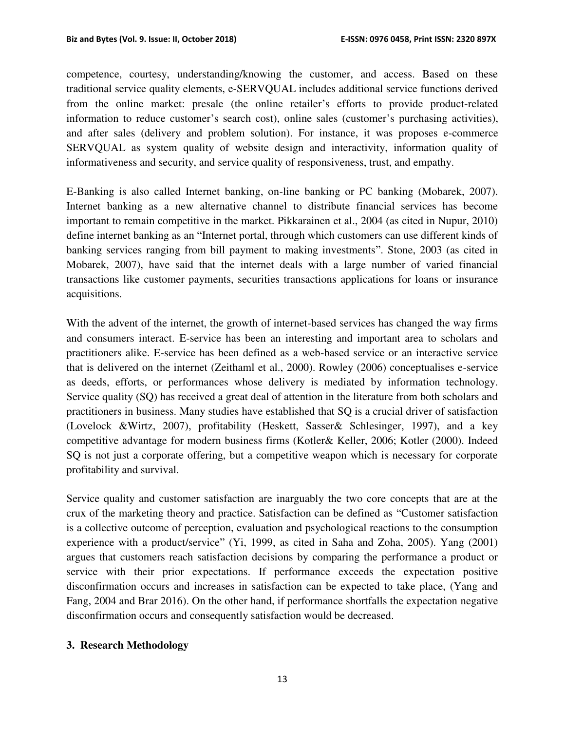competence, courtesy, understanding/knowing the customer, and access. Based on these traditional service quality elements, e-SERVQUAL includes additional service functions derived from the online market: presale (the online retailer's efforts to provide product-related information to reduce customer's search cost), online sales (customer's purchasing activities), and after sales (delivery and problem solution). For instance, it was proposes e-commerce SERVQUAL as system quality of website design and interactivity, information quality of informativeness and security, and service quality of responsiveness, trust, and empathy.

E-Banking is also called Internet banking, on-line banking or PC banking (Mobarek, 2007). Internet banking as a new alternative channel to distribute financial services has become important to remain competitive in the market. Pikkarainen et al., 2004 (as cited in Nupur, 2010) define internet banking as an "Internet portal, through which customers can use different kinds of banking services ranging from bill payment to making investments". Stone, 2003 (as cited in Mobarek, 2007), have said that the internet deals with a large number of varied financial transactions like customer payments, securities transactions applications for loans or insurance acquisitions.

With the advent of the internet, the growth of internet-based services has changed the way firms and consumers interact. E-service has been an interesting and important area to scholars and practitioners alike. E-service has been defined as a web-based service or an interactive service that is delivered on the internet (Zeithaml et al., 2000). Rowley (2006) conceptualises e-service as deeds, efforts, or performances whose delivery is mediated by information technology. Service quality (SQ) has received a great deal of attention in the literature from both scholars and practitioners in business. Many studies have established that SQ is a crucial driver of satisfaction (Lovelock &Wirtz, 2007), profitability (Heskett, Sasser& Schlesinger, 1997), and a key competitive advantage for modern business firms (Kotler& Keller, 2006; Kotler (2000). Indeed SQ is not just a corporate offering, but a competitive weapon which is necessary for corporate profitability and survival.

Service quality and customer satisfaction are inarguably the two core concepts that are at the crux of the marketing theory and practice. Satisfaction can be defined as "Customer satisfaction is a collective outcome of perception, evaluation and psychological reactions to the consumption experience with a product/service" (Yi, 1999, as cited in Saha and Zoha, 2005). Yang (2001) argues that customers reach satisfaction decisions by comparing the performance a product or service with their prior expectations. If performance exceeds the expectation positive disconfirmation occurs and increases in satisfaction can be expected to take place, (Yang and Fang, 2004 and Brar 2016). On the other hand, if performance shortfalls the expectation negative disconfirmation occurs and consequently satisfaction would be decreased.

#### **3. Research Methodology**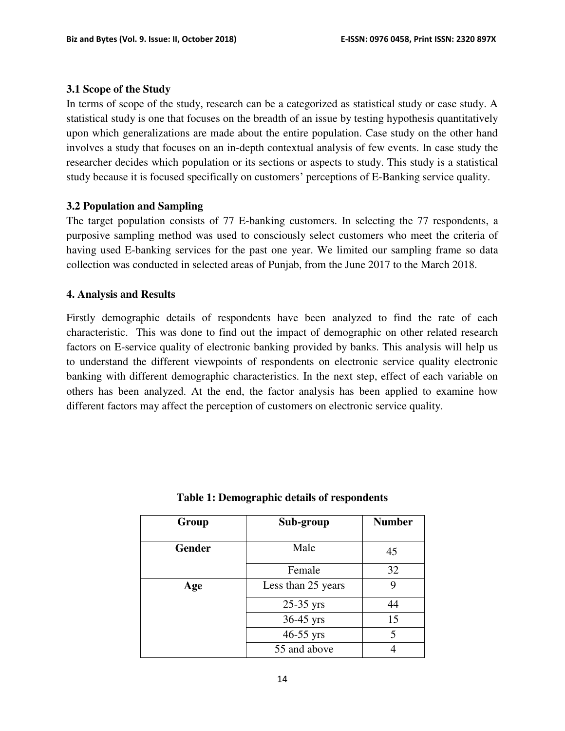#### **3.1 Scope of the Study**

In terms of scope of the study, research can be a categorized as statistical study or case study. A statistical study is one that focuses on the breadth of an issue by testing hypothesis quantitatively upon which generalizations are made about the entire population. Case study on the other hand involves a study that focuses on an in-depth contextual analysis of few events. In case study the researcher decides which population or its sections or aspects to study. This study is a statistical study because it is focused specifically on customers' perceptions of E-Banking service quality.

#### **3.2 Population and Sampling**

The target population consists of 77 E-banking customers. In selecting the 77 respondents, a purposive sampling method was used to consciously select customers who meet the criteria of having used E-banking services for the past one year. We limited our sampling frame so data collection was conducted in selected areas of Punjab, from the June 2017 to the March 2018.

#### **4. Analysis and Results**

Firstly demographic details of respondents have been analyzed to find the rate of each characteristic. This was done to find out the impact of demographic on other related research factors on E-service quality of electronic banking provided by banks. This analysis will help us to understand the different viewpoints of respondents on electronic service quality electronic banking with different demographic characteristics. In the next step, effect of each variable on others has been analyzed. At the end, the factor analysis has been applied to examine how different factors may affect the perception of customers on electronic service quality.

| Group         | Sub-group          | <b>Number</b> |
|---------------|--------------------|---------------|
| <b>Gender</b> | Male               | 45            |
|               | Female             | 32            |
| Age           | Less than 25 years | 9             |
|               | 25-35 yrs          | 44            |
|               | 36-45 yrs          | 15            |
|               | 46-55 yrs          | 5             |
|               | 55 and above       |               |

**Table 1: Demographic details of respondents**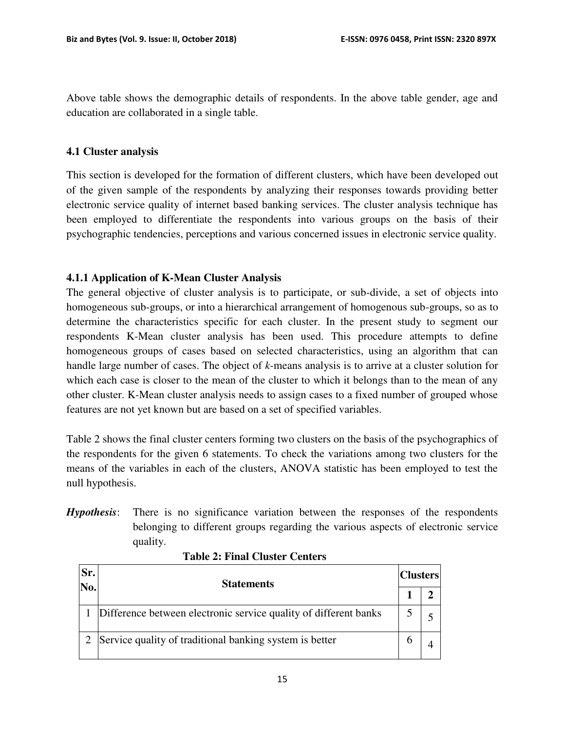Above table shows the demographic details of respondents. In the above table gender, age and education are collaborated in a single table.

### **4.1 Cluster analysis**

This section is developed for the formation of different clusters, which have been developed out of the given sample of the respondents by analyzing their responses towards providing better electronic service quality of internet based banking services. The cluster analysis technique has been employed to differentiate the respondents into various groups on the basis of their psychographic tendencies, perceptions and various concerned issues in electronic service quality.

# **4.1.1 Application of K-Mean Cluster Analysis**

The general objective of cluster analysis is to participate, or sub-divide, a set of objects into homogeneous sub-groups, or into a hierarchical arrangement of homogenous sub-groups, so as to determine the characteristics specific for each cluster. In the present study to segment our respondents K-Mean cluster analysis has been used. This procedure attempts to define homogeneous groups of cases based on selected characteristics, using an algorithm that can handle large number of cases. The object of *k*-means analysis is to arrive at a cluster solution for which each case is closer to the mean of the cluster to which it belongs than to the mean of any other cluster. K-Mean cluster analysis needs to assign cases to a fixed number of grouped whose features are not yet known but are based on a set of specified variables.

Table 2 shows the final cluster centers forming two clusters on the basis of the psychographics of the respondents for the given 6 statements. To check the variations among two clusters for the means of the variables in each of the clusters, ANOVA statistic has been employed to test the null hypothesis.

*Hypothesis*: There is no significance variation between the responses of the respondents belonging to different groups regarding the various aspects of electronic service quality.

| Sr.<br>No. | <b>Statements</b>                                                |  | <b>Clusters</b> |  |
|------------|------------------------------------------------------------------|--|-----------------|--|
|            |                                                                  |  |                 |  |
|            | Difference between electronic service quality of different banks |  |                 |  |
|            | Service quality of traditional banking system is better          |  |                 |  |

#### **Table 2: Final Cluster Centers**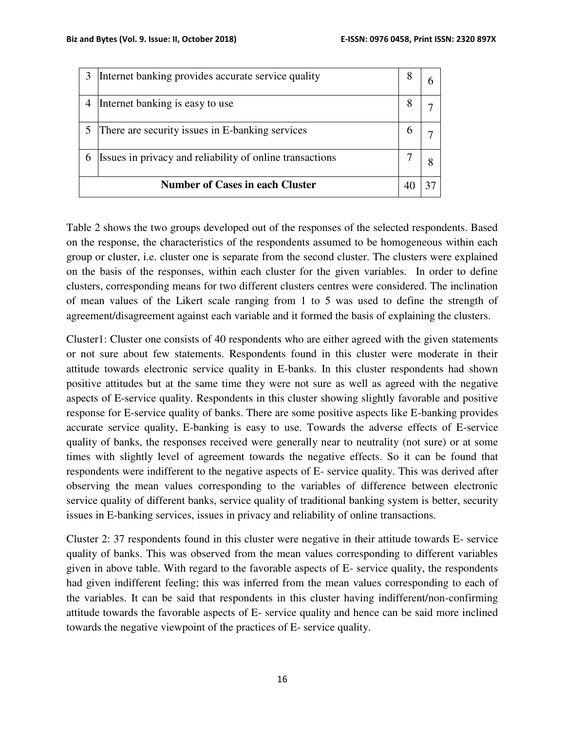|                                        | Internet banking provides accurate service quality       |   |  |
|----------------------------------------|----------------------------------------------------------|---|--|
|                                        | Internet banking is easy to use                          | 8 |  |
|                                        | There are security issues in E-banking services          |   |  |
|                                        | Issues in privacy and reliability of online transactions |   |  |
| <b>Number of Cases in each Cluster</b> |                                                          |   |  |

Table 2 shows the two groups developed out of the responses of the selected respondents. Based on the response, the characteristics of the respondents assumed to be homogeneous within each group or cluster, i.e. cluster one is separate from the second cluster. The clusters were explained on the basis of the responses, within each cluster for the given variables. In order to define clusters, corresponding means for two different clusters centres were considered. The inclination of mean values of the Likert scale ranging from 1 to 5 was used to define the strength of agreement/disagreement against each variable and it formed the basis of explaining the clusters.

Cluster1: Cluster one consists of 40 respondents who are either agreed with the given statements or not sure about few statements. Respondents found in this cluster were moderate in their attitude towards electronic service quality in E-banks. In this cluster respondents had shown positive attitudes but at the same time they were not sure as well as agreed with the negative aspects of E-service quality. Respondents in this cluster showing slightly favorable and positive response for E-service quality of banks. There are some positive aspects like E-banking provides accurate service quality, E-banking is easy to use. Towards the adverse effects of E-service quality of banks, the responses received were generally near to neutrality (not sure) or at some times with slightly level of agreement towards the negative effects. So it can be found that respondents were indifferent to the negative aspects of E- service quality. This was derived after observing the mean values corresponding to the variables of difference between electronic service quality of different banks, service quality of traditional banking system is better, security issues in E-banking services, issues in privacy and reliability of online transactions.

Cluster 2: 37 respondents found in this cluster were negative in their attitude towards E- service quality of banks. This was observed from the mean values corresponding to different variables given in above table. With regard to the favorable aspects of E- service quality, the respondents had given indifferent feeling; this was inferred from the mean values corresponding to each of the variables. It can be said that respondents in this cluster having indifferent/non-confirming attitude towards the favorable aspects of E- service quality and hence can be said more inclined towards the negative viewpoint of the practices of E- service quality.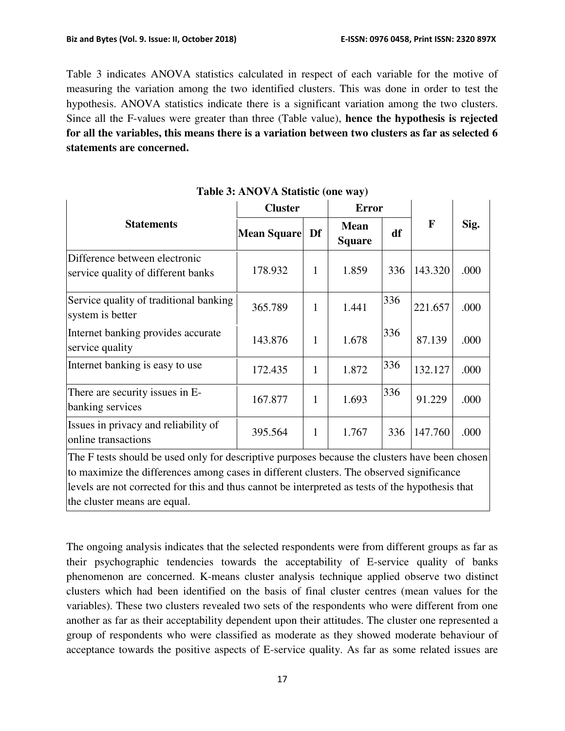Table 3 indicates ANOVA statistics calculated in respect of each variable for the motive of measuring the variation among the two identified clusters. This was done in order to test the hypothesis. ANOVA statistics indicate there is a significant variation among the two clusters. Since all the F-values were greater than three (Table value), **hence the hypothesis is rejected for all the variables, this means there is a variation between two clusters as far as selected 6 statements are concerned.**

|                                                                                                | <b>Cluster</b> |              | <b>Error</b>                 |     |             |      |
|------------------------------------------------------------------------------------------------|----------------|--------------|------------------------------|-----|-------------|------|
| <b>Statements</b>                                                                              | Mean Square    | Df           | <b>Mean</b><br><b>Square</b> | df  | $\mathbf F$ | Sig. |
| Difference between electronic<br>service quality of different banks                            | 178.932        | 1            | 1.859                        | 336 | 143.320     | .000 |
| Service quality of traditional banking<br>system is better                                     | 365.789        | 1            | 1.441                        | 336 | 221.657     | .000 |
| Internet banking provides accurate<br>service quality                                          | 143.876        | 1            | 1.678                        | 336 | 87.139      | .000 |
| Internet banking is easy to use                                                                | 172.435        | 1            | 1.872                        | 336 | 132.127     | .000 |
| There are security issues in E-<br>banking services                                            | 167.877        | 1            | 1.693                        | 336 | 91.229      | .000 |
| Issues in privacy and reliability of<br>online transactions                                    | 395.564        | $\mathbf{1}$ | 1.767                        | 336 | 147.760     | .000 |
| The F tests should be used only for descriptive purposes because the clusters have been chosen |                |              |                              |     |             |      |

# **Table 3: ANOVA Statistic (one way)**

to maximize the differences among cases in different clusters. The observed significance levels are not corrected for this and thus cannot be interpreted as tests of the hypothesis that the cluster means are equal.

The ongoing analysis indicates that the selected respondents were from different groups as far as their psychographic tendencies towards the acceptability of E-service quality of banks phenomenon are concerned. K-means cluster analysis technique applied observe two distinct clusters which had been identified on the basis of final cluster centres (mean values for the variables). These two clusters revealed two sets of the respondents who were different from one another as far as their acceptability dependent upon their attitudes. The cluster one represented a group of respondents who were classified as moderate as they showed moderate behaviour of acceptance towards the positive aspects of E-service quality. As far as some related issues are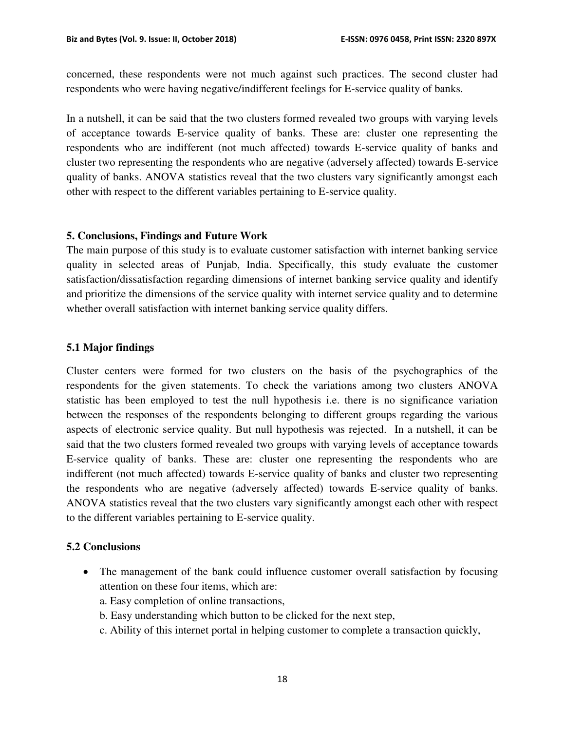concerned, these respondents were not much against such practices. The second cluster had respondents who were having negative/indifferent feelings for E-service quality of banks.

In a nutshell, it can be said that the two clusters formed revealed two groups with varying levels of acceptance towards E-service quality of banks. These are: cluster one representing the respondents who are indifferent (not much affected) towards E-service quality of banks and cluster two representing the respondents who are negative (adversely affected) towards E-service quality of banks. ANOVA statistics reveal that the two clusters vary significantly amongst each other with respect to the different variables pertaining to E-service quality.

#### **5. Conclusions, Findings and Future Work**

The main purpose of this study is to evaluate customer satisfaction with internet banking service quality in selected areas of Punjab, India. Specifically, this study evaluate the customer satisfaction/dissatisfaction regarding dimensions of internet banking service quality and identify and prioritize the dimensions of the service quality with internet service quality and to determine whether overall satisfaction with internet banking service quality differs.

#### **5.1 Major findings**

Cluster centers were formed for two clusters on the basis of the psychographics of the respondents for the given statements. To check the variations among two clusters ANOVA statistic has been employed to test the null hypothesis i.e. there is no significance variation between the responses of the respondents belonging to different groups regarding the various aspects of electronic service quality. But null hypothesis was rejected. In a nutshell, it can be said that the two clusters formed revealed two groups with varying levels of acceptance towards E-service quality of banks. These are: cluster one representing the respondents who are indifferent (not much affected) towards E-service quality of banks and cluster two representing the respondents who are negative (adversely affected) towards E-service quality of banks. ANOVA statistics reveal that the two clusters vary significantly amongst each other with respect to the different variables pertaining to E-service quality.

#### **5.2 Conclusions**

- The management of the bank could influence customer overall satisfaction by focusing attention on these four items, which are:
	- a. Easy completion of online transactions,
	- b. Easy understanding which button to be clicked for the next step,
	- c. Ability of this internet portal in helping customer to complete a transaction quickly,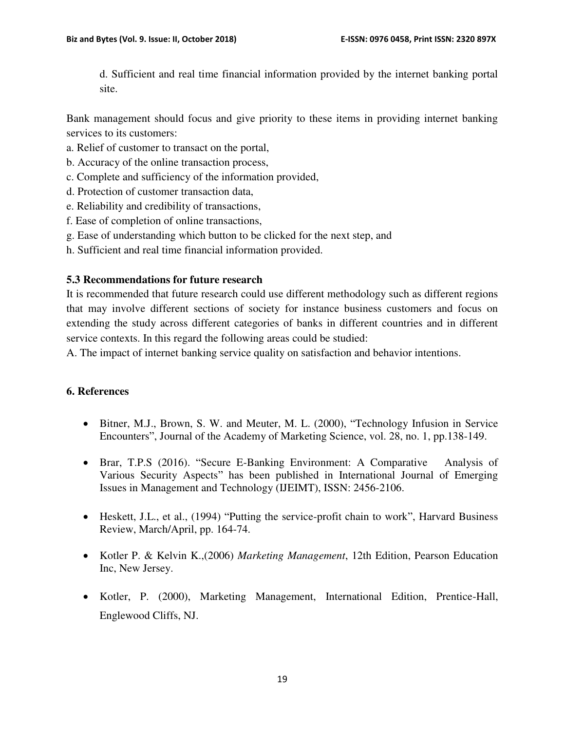d. Sufficient and real time financial information provided by the internet banking portal site.

Bank management should focus and give priority to these items in providing internet banking services to its customers:

- a. Relief of customer to transact on the portal,
- b. Accuracy of the online transaction process,
- c. Complete and sufficiency of the information provided,
- d. Protection of customer transaction data,
- e. Reliability and credibility of transactions,
- f. Ease of completion of online transactions,
- g. Ease of understanding which button to be clicked for the next step, and
- h. Sufficient and real time financial information provided.

# **5.3 Recommendations for future research**

It is recommended that future research could use different methodology such as different regions that may involve different sections of society for instance business customers and focus on extending the study across different categories of banks in different countries and in different service contexts. In this regard the following areas could be studied:

A. The impact of internet banking service quality on satisfaction and behavior intentions.

#### **6. References**

- Bitner, M.J., Brown, S. W. and Meuter, M. L. (2000), "Technology Infusion in Service Encounters", Journal of the Academy of Marketing Science, vol. 28, no. 1, pp.138-149.
- Brar, T.P.S (2016). "Secure E-Banking Environment: A Comparative Analysis of Various Security Aspects" has been published in International Journal of Emerging Issues in Management and Technology (IJEIMT), ISSN: 2456-2106.
- Heskett, J.L., et al., (1994) "Putting the service-profit chain to work", Harvard Business Review, March/April, pp. 164-74.
- Kotler P. & Kelvin K.,(2006) *Marketing Management*, 12th Edition, Pearson Education Inc, New Jersey.
- Kotler, P. (2000), Marketing Management, International Edition, Prentice-Hall, Englewood Cliffs, NJ.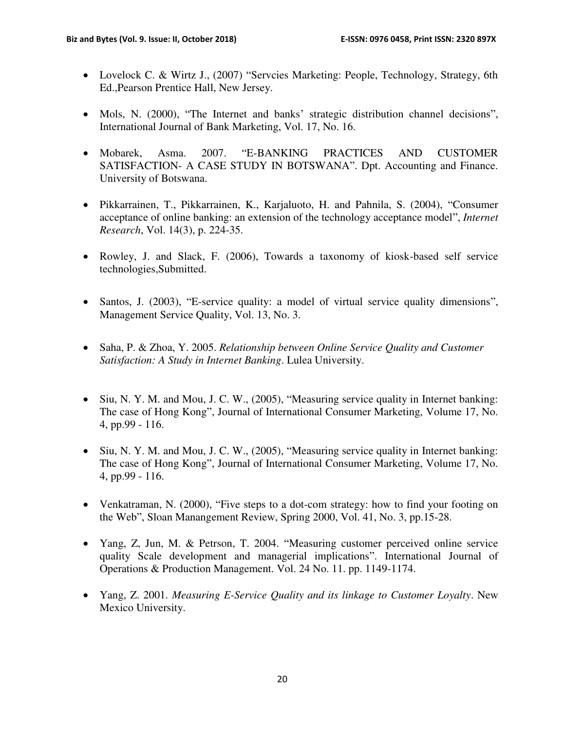- Lovelock C. & Wirtz J., (2007) "Servcies Marketing: People, Technology, Strategy, 6th Ed.,Pearson Prentice Hall, New Jersey.
- Mols, N. (2000), "The Internet and banks' strategic distribution channel decisions", International Journal of Bank Marketing, Vol. 17, No. 16.
- Mobarek, Asma. 2007. "E-BANKING PRACTICES AND CUSTOMER SATISFACTION- A CASE STUDY IN BOTSWANA". Dpt. Accounting and Finance. University of Botswana.
- Pikkarrainen, T., Pikkarrainen, K., Karjaluoto, H. and Pahnila, S. (2004), "Consumer acceptance of online banking: an extension of the technology acceptance model", *Internet Research*, Vol. 14(3), p. 224-35.
- Rowley, J. and Slack, F. (2006), Towards a taxonomy of kiosk-based self service technologies,Submitted.
- Santos, J. (2003), "E-service quality: a model of virtual service quality dimensions", Management Service Quality, Vol. 13, No. 3.
- Saha, P. & Zhoa, Y. 2005. *Relationship between Online Service Quality and Customer Satisfaction: A Study in Internet Banking*. Lulea University.
- Siu, N. Y. M. and Mou, J. C. W., (2005), "Measuring service quality in Internet banking: The case of Hong Kong", Journal of International Consumer Marketing, Volume 17, No. 4, pp.99 - 116.
- Siu, N. Y. M. and Mou, J. C. W., (2005), "Measuring service quality in Internet banking: The case of Hong Kong", Journal of International Consumer Marketing, Volume 17, No. 4, pp.99 - 116.
- Venkatraman, N. (2000), "Five steps to a dot-com strategy: how to find your footing on the Web", Sloan Manangement Review, Spring 2000, Vol. 41, No. 3, pp.15-28.
- Yang, Z, Jun, M. & Petrson, T. 2004. "Measuring customer perceived online service quality Scale development and managerial implications". International Journal of Operations & Production Management. Vol. 24 No. 11. pp. 1149-1174.
- Yang, Z. 2001. *Measuring E-Service Quality and its linkage to Customer Loyalty*. New Mexico University.